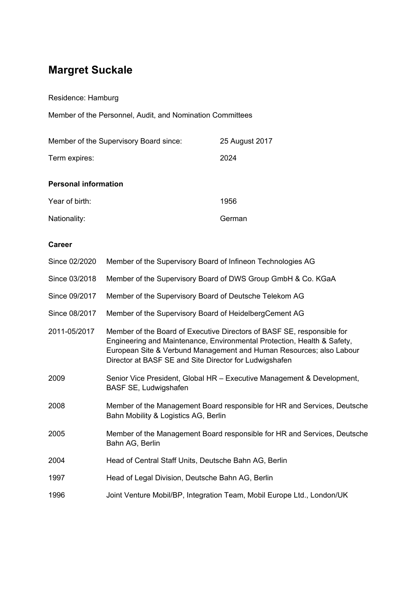# **Margret Suckale**

Residence: Hamburg

Member of the Personnel, Audit, and Nomination Committees

| Member of the Supervisory Board since: | 25 August 2017 |
|----------------------------------------|----------------|
| Term expires:                          | 2024           |
| <b>Personal information</b>            |                |
| Year of birth:                         | 1956           |
| Nationality:                           | German         |

## **Career**

| Since 02/2020 | Member of the Supervisory Board of Infineon Technologies AG                                                                                                                                                                                                                        |
|---------------|------------------------------------------------------------------------------------------------------------------------------------------------------------------------------------------------------------------------------------------------------------------------------------|
| Since 03/2018 | Member of the Supervisory Board of DWS Group GmbH & Co. KGaA                                                                                                                                                                                                                       |
| Since 09/2017 | Member of the Supervisory Board of Deutsche Telekom AG                                                                                                                                                                                                                             |
| Since 08/2017 | Member of the Supervisory Board of HeidelbergCement AG                                                                                                                                                                                                                             |
| 2011-05/2017  | Member of the Board of Executive Directors of BASF SE, responsible for<br>Engineering and Maintenance, Environmental Protection, Health & Safety,<br>European Site & Verbund Management and Human Resources; also Labour<br>Director at BASF SE and Site Director for Ludwigshafen |
| 2009          | Senior Vice President, Global HR - Executive Management & Development,<br>BASF SE, Ludwigshafen                                                                                                                                                                                    |
| 2008          | Member of the Management Board responsible for HR and Services, Deutsche<br>Bahn Mobility & Logistics AG, Berlin                                                                                                                                                                   |
| 2005          | Member of the Management Board responsible for HR and Services, Deutsche<br>Bahn AG, Berlin                                                                                                                                                                                        |
| 2004          | Head of Central Staff Units, Deutsche Bahn AG, Berlin                                                                                                                                                                                                                              |
| 1997          | Head of Legal Division, Deutsche Bahn AG, Berlin                                                                                                                                                                                                                                   |
| 1996          | Joint Venture Mobil/BP, Integration Team, Mobil Europe Ltd., London/UK                                                                                                                                                                                                             |